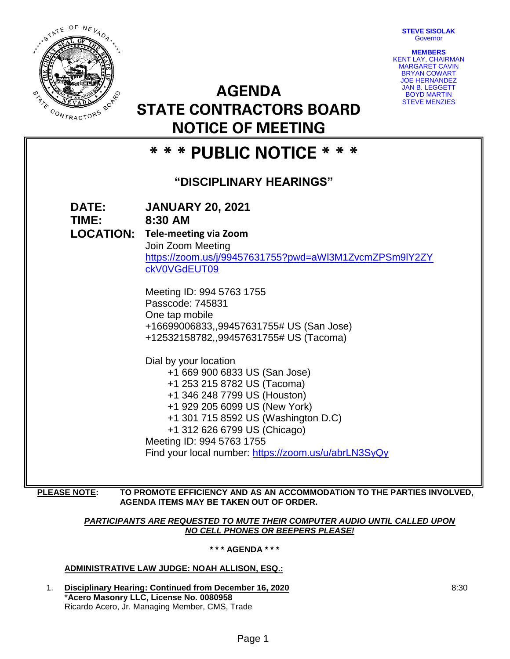**STEVE SISOLAK Governor** 

**MEMBERS**



KENT LAY, CHAIRMAN MARGARET CAVIN BRYAN COWART JOE HERNANDEZ JAN B. LEGGETT BOYD MARTIN STEVE MENZIES **STATE CONTRACTORS BOARD**

# **\* \* \* PUBLIC NOTICE \* \* \***

**NOTICE OF MEETING**

**AGENDA** 

# **"DISCIPLINARY HEARINGS"**

**DATE: JANUARY 20, 2021 TIME: 8:30 AM LOCATION: Tele-meeting via Zoom** Join Zoom Meeting [https://zoom.us/j/99457631755?pwd=aWl3M1ZvcmZPSm9lY2ZY](https://zoom.us/j/99457631755?pwd=aWl3M1ZvcmZPSm9lY2ZYckV0VGdEUT09) [ckV0VGdEUT09](https://zoom.us/j/99457631755?pwd=aWl3M1ZvcmZPSm9lY2ZYckV0VGdEUT09) Meeting ID: 994 5763 1755 Passcode: 745831 One tap mobile +16699006833,,99457631755# US (San Jose) +12532158782,,99457631755# US (Tacoma) Dial by your location +1 669 900 6833 US (San Jose) +1 253 215 8782 US (Tacoma) +1 346 248 7799 US (Houston) +1 929 205 6099 US (New York) +1 301 715 8592 US (Washington D.C) +1 312 626 6799 US (Chicago) Meeting ID: 994 5763 1755 Find your local number:<https://zoom.us/u/abrLN3SyQy>

### **PLEASE NOTE: TO PROMOTE EFFICIENCY AND AS AN ACCOMMODATION TO THE PARTIES INVOLVED, AGENDA ITEMS MAY BE TAKEN OUT OF ORDER.**

# *PARTICIPANTS ARE REQUESTED TO MUTE THEIR COMPUTER AUDIO UNTIL CALLED UPON NO CELL PHONES OR BEEPERS PLEASE!*

## **\* \* \* AGENDA \* \* \***

# **ADMINISTRATIVE LAW JUDGE: NOAH ALLISON, ESQ.:**

1. **Disciplinary Hearing: Continued from December 16, 2020** \***Acero Masonry LLC, License No. 0080958** Ricardo Acero, Jr. Managing Member, CMS, Trade

8:30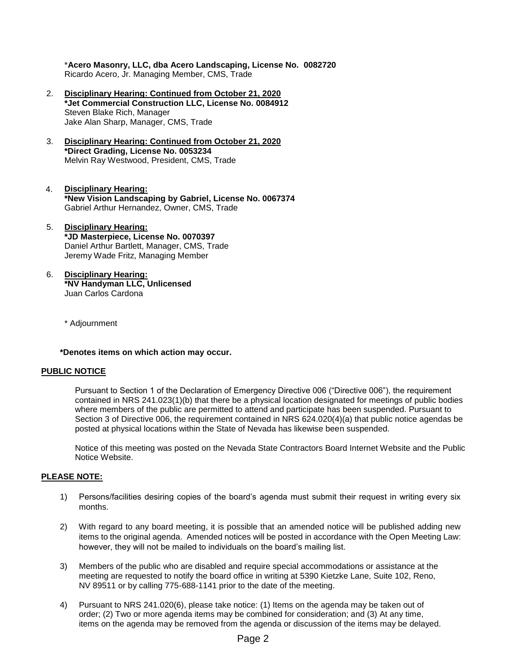\***Acero Masonry, LLC, dba Acero Landscaping, License No. 0082720** Ricardo Acero, Jr. Managing Member, CMS, Trade

- 2. **Disciplinary Hearing: Continued from October 21, 2020 \*Jet Commercial Construction LLC, License No. 0084912** Steven Blake Rich, Manager Jake Alan Sharp, Manager, CMS, Trade
- 3. **Disciplinary Hearing: Continued from October 21, 2020 \*Direct Grading, License No. 0053234**  Melvin Ray Westwood, President, CMS, Trade
- 4. **Disciplinary Hearing: \*New Vision Landscaping by Gabriel, License No. 0067374** Gabriel Arthur Hernandez, Owner, CMS, Trade
- 5. **Disciplinary Hearing: \*JD Masterpiece, License No. 0070397** Daniel Arthur Bartlett, Manager, CMS, Trade Jeremy Wade Fritz, Managing Member
- 6. **Disciplinary Hearing: \*NV Handyman LLC, Unlicensed** Juan Carlos Cardona

\* Adjournment

#### **\*Denotes items on which action may occur.**

#### **PUBLIC NOTICE**

Pursuant to Section 1 of the Declaration of Emergency Directive 006 ("Directive 006"), the requirement contained in NRS 241.023(1)(b) that there be a physical location designated for meetings of public bodies where members of the public are permitted to attend and participate has been suspended. Pursuant to Section 3 of Directive 006, the requirement contained in NRS 624.020(4)(a) that public notice agendas be posted at physical locations within the State of Nevada has likewise been suspended.

Notice of this meeting was posted on the Nevada State Contractors Board Internet Website and the Public Notice Website.

#### **PLEASE NOTE:**

- 1) Persons/facilities desiring copies of the board's agenda must submit their request in writing every six months.
- 2) With regard to any board meeting, it is possible that an amended notice will be published adding new items to the original agenda. Amended notices will be posted in accordance with the Open Meeting Law: however, they will not be mailed to individuals on the board's mailing list.
- 3) Members of the public who are disabled and require special accommodations or assistance at the meeting are requested to notify the board office in writing at 5390 Kietzke Lane, Suite 102, Reno, NV 89511 or by calling 775-688-1141 prior to the date of the meeting.
- 4) Pursuant to NRS 241.020(6), please take notice: (1) Items on the agenda may be taken out of order; (2) Two or more agenda items may be combined for consideration; and (3) At any time, items on the agenda may be removed from the agenda or discussion of the items may be delayed.